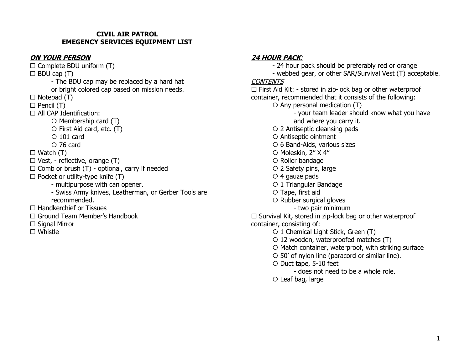#### **CIVIL AIR PATROL EMEGENCY SERVICES EQUIPMENT LIST**

### **ON YOUR PERSON**

 $\square$  Complete BDU uniform (T)  $\Box$  BDU cap (T) - The BDU cap may be replaced by a hard hat or bright colored cap based on mission needs.  $\Box$  Notepad (T)  $\Box$  Pencil (T)  $\Box$  All CAP Identification:  $\circ$  Membership card (T)  $\circ$  First Aid card, etc. (T)  $\circ$  101 card  $O$  76 card  $\Box$  Watch  $(T)$  $\Box$  Vest, - reflective, orange (T)  $\Box$  Comb or brush (T) - optional, carry if needed  $\square$  Pocket or utility-type knife (T) - multipurpose with can opener. - Swiss Army knives, Leatherman, or Gerber Tools are recommended.  $\Box$  Handkerchief or Tissues Ground Team Member's Handbook  $\square$  Signal Mirror □ Whistle

## **24 HOUR PACK**:

- 24 hour pack should be preferably red or orange - webbed gear, or other SAR/Survival Vest (T) acceptable.

## **CONTENTS**

 $\Box$  First Aid Kit: - stored in zip-lock bag or other waterproof container, recommended that it consists of the following:

- $\circ$  Any personal medication (T)
	- your team leader should know what you have and where you carry it.
- 2 Antiseptic cleansing pads
- O Antiseptic ointment
- 6 Band-Aids, various sizes
- O Moleskin, 2" X 4"
- O Roller bandage
- 2 Safety pins, large
- $\circ$  4 gauze pads
- 1 Triangular Bandage
- O Tape, first aid
- O Rubber surgical gloves
	- two pair minimum

 $\Box$  Survival Kit, stored in zip-lock bag or other waterproof container, consisting of:

- 1 Chemical Light Stick, Green (T)
- 12 wooden, waterproofed matches (T)
- $\circ$  Match container, waterproof, with striking surface
- 50' of nylon line (paracord or similar line).
- O Duct tape, 5-10 feet
	- does not need to be a whole role.
- Leaf bag, large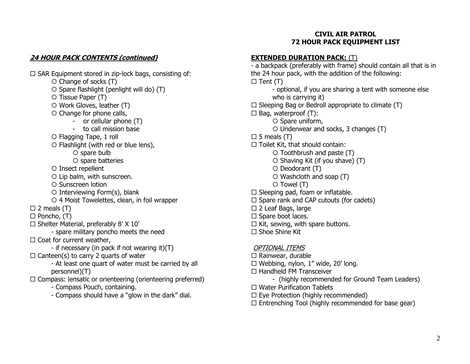#### **CIVIL AIR PATROL 72 HOUR PACK EQUIPMENT LIST**

# **24 HOUR PACK CONTENTS (continued)**

 $\square$  SAR Equipment stored in zip-lock bags, consisting of:  $\circ$  Change of socks (T)  $\circ$  Spare flashlight (penlight will do) (T)  $\circ$  Tissue Paper (T)  $\circ$  Work Gloves, leather (T) O Change for phone calls, - or cellular phone (T) - to call mission base Flagging Tape, 1 roll O Flashlight (with red or blue lens),  $\circ$  spare bulb  $\circ$  spare batteries O Insect repellent O Lip balm, with sunscreen. O Sunscreen lotion Interviewing Form(s), blank 4 Moist Towelettes, clean, in foil wrapper  $\square$  2 meals  $(T)$  $\Box$  Poncho,  $(T)$  $\square$  Shelter Material, preferably 8' X 10' - spare military poncho meets the need  $\Box$  Coat for current weather, - if necessary (in pack if not wearing it)(T)  $\Box$  Canteen(s) to carry 2 quarts of water - At least one quart of water must be carried by all personnel)(T)  $\Box$  Compass: lensatic or orienteering (orienteering preferred)

- Compass Pouch, containing.

- Compass should have a "glow in the dark" dial.

# **EXTENDED DURATION PACK:** (T)

- a backpack (preferably with frame) should contain all that is in the 24 hour pack, with the addition of the following:  $\Box$  Tent (T) - optional, if you are sharing a tent with someone else who is carrying it)  $\square$  Sleeping Bag or Bedroll appropriate to climate (T)  $\Box$  Bag, waterproof (T):  $\circ$  Spare uniform, Underwear and socks, 3 changes (T)  $\square$  5 meals (T)  $\Box$  Toilet Kit, that should contain:  $\circ$  Toothbrush and paste (T)  $\circ$  Shaving Kit (if you shave) (T)  $O$  Deodorant  $(T)$  Washcloth and soap (T)  $\circ$  Towel (T)  $\Box$  Sleeping pad, foam or inflatable.  $\Box$  Spare rank and CAP cutouts (for cadets) □ 2 Leaf Bags, large  $\Box$  Spare boot laces.  $\Box$  Kit, sewing, with spare buttons.  $\Box$  Shoe Shine Kit OPTIONAL ITEMS  $\Box$  Rainwear, durable  $\Box$  Webbing, nylon, 1" wide, 20' long.  $\Box$  Handheld FM Transceiver - (highly recommended for Ground Team Leaders)  $\Box$  Water Purification Tablets  $\Box$  Eye Protection (highly recommended)  $\Box$  Entrenching Tool (highly recommended for base gear)